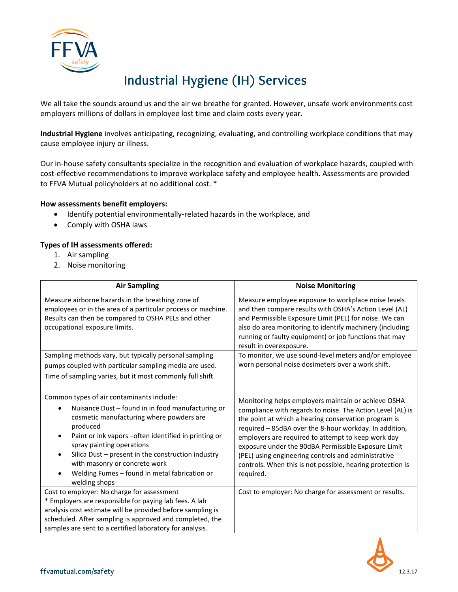

# Industrial Hygiene (IH) Services

We all take the sounds around us and the air we breathe for granted. However, unsafe work environments cost employers millions of dollars in employee lost time and claim costs every year.

**Industrial Hygiene** involves anticipating, recognizing, evaluating, and controlling workplace conditions that may cause employee injury or illness.

Our in-house safety consultants specialize in the recognition and evaluation of workplace hazards, coupled with cost-effective recommendations to improve workplace safety and employee health. Assessments are provided to FFVA Mutual policyholders at no additional cost. \*

## **How assessments benefit employers:**

- Identify potential environmentally-related hazards in the workplace, and
- Comply with OSHA laws

## **Types of IH assessments offered:**

- 1. Air sampling
- 2. Noise monitoring

| <b>Air Sampling</b>                                                                                                                                                                                                                                                                                                                                                                                                                                                                          | <b>Noise Monitoring</b>                                                                                                                                                                                                                                                                                                                                                                                                                                                            |
|----------------------------------------------------------------------------------------------------------------------------------------------------------------------------------------------------------------------------------------------------------------------------------------------------------------------------------------------------------------------------------------------------------------------------------------------------------------------------------------------|------------------------------------------------------------------------------------------------------------------------------------------------------------------------------------------------------------------------------------------------------------------------------------------------------------------------------------------------------------------------------------------------------------------------------------------------------------------------------------|
| Measure airborne hazards in the breathing zone of<br>employees or in the area of a particular process or machine.<br>Results can then be compared to OSHA PELs and other<br>occupational exposure limits.                                                                                                                                                                                                                                                                                    | Measure employee exposure to workplace noise levels<br>and then compare results with OSHA's Action Level (AL)<br>and Permissible Exposure Limit (PEL) for noise. We can<br>also do area monitoring to identify machinery (including<br>running or faulty equipment) or job functions that may<br>result in overexposure.                                                                                                                                                           |
| Sampling methods vary, but typically personal sampling                                                                                                                                                                                                                                                                                                                                                                                                                                       | To monitor, we use sound-level meters and/or employee                                                                                                                                                                                                                                                                                                                                                                                                                              |
| pumps coupled with particular sampling media are used.                                                                                                                                                                                                                                                                                                                                                                                                                                       | worn personal noise dosimeters over a work shift.                                                                                                                                                                                                                                                                                                                                                                                                                                  |
| Time of sampling varies, but it most commonly full shift.<br>Common types of air contaminants include:<br>Nuisance Dust - found in in food manufacturing or<br>cosmetic manufacturing where powders are<br>produced<br>Paint or ink vapors - often identified in printing or<br>$\bullet$<br>spray painting operations<br>Silica Dust - present in the construction industry<br>$\bullet$<br>with masonry or concrete work<br>Welding Fumes - found in metal fabrication or<br>welding shops | Monitoring helps employers maintain or achieve OSHA<br>compliance with regards to noise. The Action Level (AL) is<br>the point at which a hearing conservation program is<br>required – 85dBA over the 8-hour workday. In addition,<br>employers are required to attempt to keep work day<br>exposure under the 90dBA Permissible Exposure Limit<br>(PEL) using engineering controls and administrative<br>controls. When this is not possible, hearing protection is<br>required. |
| Cost to employer: No charge for assessment                                                                                                                                                                                                                                                                                                                                                                                                                                                   | Cost to employer: No charge for assessment or results.                                                                                                                                                                                                                                                                                                                                                                                                                             |
| * Employers are responsible for paying lab fees. A lab<br>analysis cost estimate will be provided before sampling is                                                                                                                                                                                                                                                                                                                                                                         |                                                                                                                                                                                                                                                                                                                                                                                                                                                                                    |
| scheduled. After sampling is approved and completed, the                                                                                                                                                                                                                                                                                                                                                                                                                                     |                                                                                                                                                                                                                                                                                                                                                                                                                                                                                    |
| samples are sent to a certified laboratory for analysis.                                                                                                                                                                                                                                                                                                                                                                                                                                     |                                                                                                                                                                                                                                                                                                                                                                                                                                                                                    |